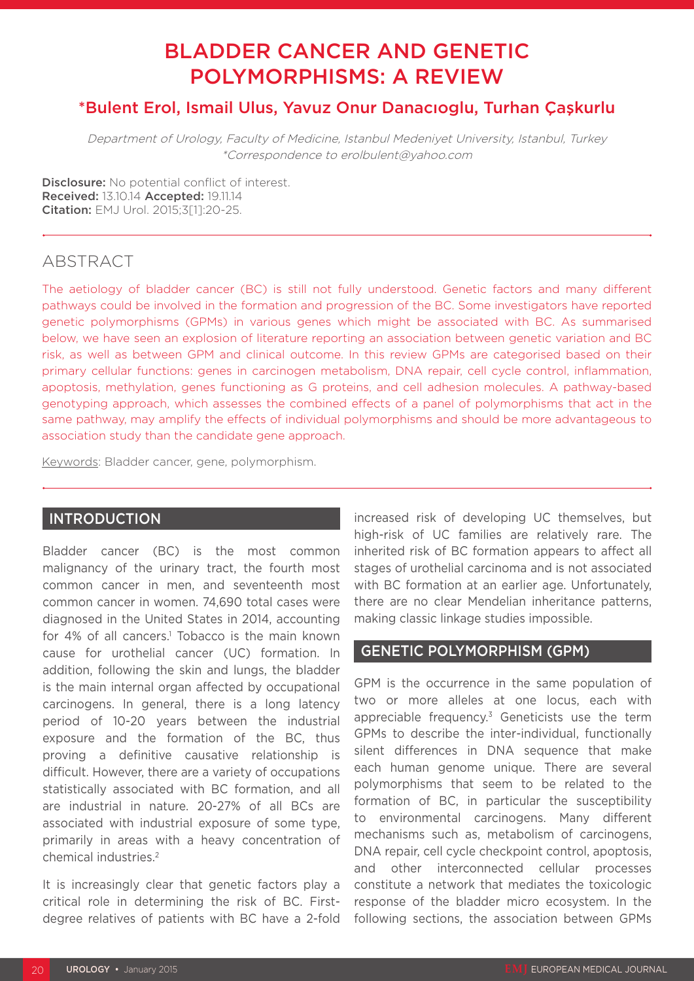# BLADDER CANCER AND GENETIC POLYMORPHISMS: A REVIEW

# \*Bulent Erol, Ismail Ulus, Yavuz Onur Danacıoglu, Turhan Çaşkurlu

Department of Urology, Faculty of Medicine, Istanbul Medeniyet University, Istanbul, Turkey \*Correspondence to erolbulent@yahoo.com

Disclosure: No potential conflict of interest. Received: 13.10.14 Accepted: 19.11.14 Citation: EMJ Urol. 2015;3[1]:20-25.

# ABSTRACT

The aetiology of bladder cancer (BC) is still not fully understood. Genetic factors and many different pathways could be involved in the formation and progression of the BC. Some investigators have reported genetic polymorphisms (GPMs) in various genes which might be associated with BC. As summarised below, we have seen an explosion of literature reporting an association between genetic variation and BC risk, as well as between GPM and clinical outcome. In this review GPMs are categorised based on their primary cellular functions: genes in carcinogen metabolism, DNA repair, cell cycle control, inflammation, apoptosis, methylation, genes functioning as G proteins, and cell adhesion molecules. A pathway-based genotyping approach, which assesses the combined effects of a panel of polymorphisms that act in the same pathway, may amplify the effects of individual polymorphisms and should be more advantageous to association study than the candidate gene approach.

Keywords: Bladder cancer, gene, polymorphism.

# **INTRODUCTION**

Bladder cancer (BC) is the most common malignancy of the urinary tract, the fourth most common cancer in men, and seventeenth most common cancer in women. 74,690 total cases were diagnosed in the United States in 2014, accounting for 4% of all cancers.<sup>1</sup> Tobacco is the main known cause for urothelial cancer (UC) formation. In addition, following the skin and lungs, the bladder is the main internal organ affected by occupational carcinogens. In general, there is a long latency period of 10-20 years between the industrial exposure and the formation of the BC, thus proving a definitive causative relationship is difficult. However, there are a variety of occupations statistically associated with BC formation, and all are industrial in nature. 20-27% of all BCs are associated with industrial exposure of some type, primarily in areas with a heavy concentration of chemical industries.2

It is increasingly clear that genetic factors play a critical role in determining the risk of BC. Firstdegree relatives of patients with BC have a 2-fold increased risk of developing UC themselves, but high-risk of UC families are relatively rare. The inherited risk of BC formation appears to affect all stages of urothelial carcinoma and is not associated with BC formation at an earlier age. Unfortunately, there are no clear Mendelian inheritance patterns, making classic linkage studies impossible.

## GENETIC POLYMORPHISM (GPM)

GPM is the occurrence in the same population of two or more alleles at one locus, each with appreciable frequency. $3$  Geneticists use the term GPMs to describe the inter-individual, functionally silent differences in DNA sequence that make each human genome unique. There are several polymorphisms that seem to be related to the formation of BC, in particular the susceptibility to environmental carcinogens. Many different mechanisms such as, metabolism of carcinogens, DNA repair, cell cycle checkpoint control, apoptosis, and other interconnected cellular processes constitute a network that mediates the toxicologic response of the bladder micro ecosystem. In the following sections, the association between GPMs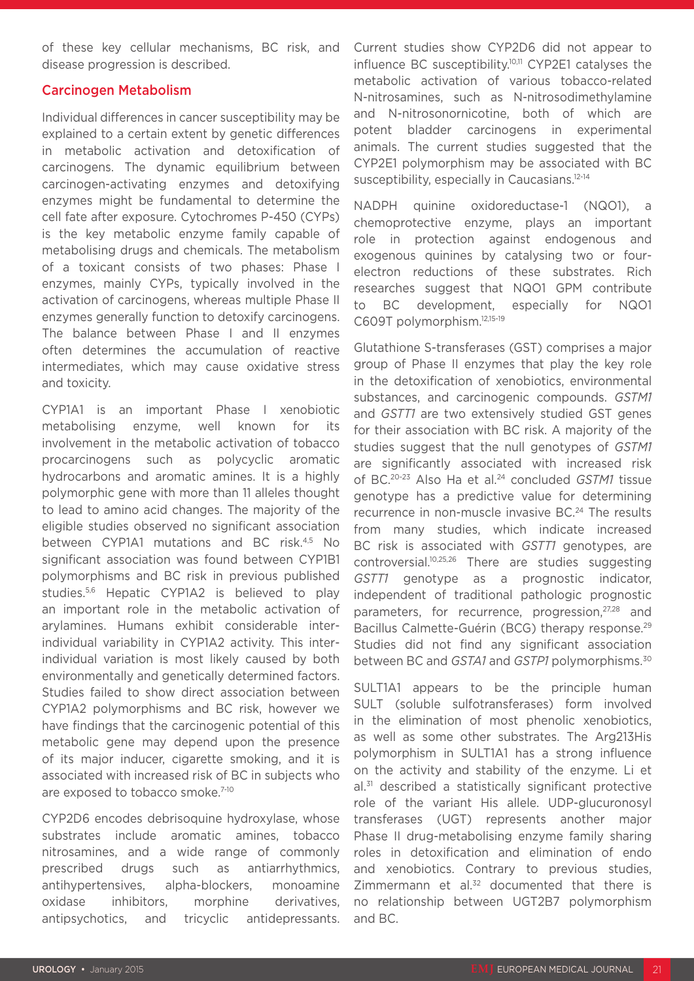of these key cellular mechanisms, BC risk, and disease progression is described.

# Carcinogen Metabolism

Individual differences in cancer susceptibility may be explained to a certain extent by genetic differences in metabolic activation and detoxification of carcinogens. The dynamic equilibrium between carcinogen-activating enzymes and detoxifying enzymes might be fundamental to determine the cell fate after exposure. Cytochromes P-450 (CYPs) is the key metabolic enzyme family capable of metabolising drugs and chemicals. The metabolism of a toxicant consists of two phases: Phase I enzymes, mainly CYPs, typically involved in the activation of carcinogens, whereas multiple Phase II enzymes generally function to detoxify carcinogens. The balance between Phase I and II enzymes often determines the accumulation of reactive intermediates, which may cause oxidative stress and toxicity.

CYP1A1 is an important Phase I xenobiotic metabolising enzyme, well known for its involvement in the metabolic activation of tobacco procarcinogens such as polycyclic aromatic hydrocarbons and aromatic amines. It is a highly polymorphic gene with more than 11 alleles thought to lead to amino acid changes. The majority of the eligible studies observed no significant association between CYP1A1 mutations and BC risk.<sup>4,5</sup> No significant association was found between CYP1B1 polymorphisms and BC risk in previous published studies.5,6 Hepatic CYP1A2 is believed to play an important role in the metabolic activation of arylamines. Humans exhibit considerable interindividual variability in CYP1A2 activity. This interindividual variation is most likely caused by both environmentally and genetically determined factors. Studies failed to show direct association between CYP1A2 polymorphisms and BC risk, however we have findings that the carcinogenic potential of this metabolic gene may depend upon the presence of its major inducer, cigarette smoking, and it is associated with increased risk of BC in subjects who are exposed to tobacco smoke.<sup>7-10</sup>

CYP2D6 encodes debrisoquine hydroxylase, whose substrates include aromatic amines, tobacco nitrosamines, and a wide range of commonly prescribed drugs such as antiarrhythmics, antihypertensives, alpha-blockers, monoamine oxidase inhibitors, morphine derivatives, antipsychotics, and tricyclic antidepressants.

Current studies show CYP2D6 did not appear to influence BC susceptibility.10,11 CYP2E1 catalyses the metabolic activation of various tobacco-related N-nitrosamines, such as N-nitrosodimethylamine and N-nitrosonornicotine, both of which are potent bladder carcinogens in experimental animals. The current studies suggested that the CYP2E1 polymorphism may be associated with BC susceptibility, especially in Caucasians.<sup>12-14</sup>

NADPH quinine oxidoreductase-1 (NQO1), a chemoprotective enzyme, plays an important role in protection against endogenous and exogenous quinines by catalysing two or fourelectron reductions of these substrates. Rich researches suggest that NQO1 GPM contribute to BC development, especially for NQO1 C609T polymorphism.12,15-19

Glutathione S-transferases (GST) comprises a major group of Phase II enzymes that play the key role in the detoxification of xenobiotics, environmental substances, and carcinogenic compounds. *GSTM1* and *GSTT1* are two extensively studied GST genes for their association with BC risk. A majority of the studies suggest that the null genotypes of *GSTM1* are significantly associated with increased risk of BC.20-23 Also Ha et al.24 concluded *GSTM1* tissue genotype has a predictive value for determining recurrence in non-muscle invasive BC.<sup>24</sup> The results from many studies, which indicate increased BC risk is associated with *GSTT1* genotypes, are controversial.10,25,26 There are studies suggesting *GSTT1* genotype as a prognostic indicator, independent of traditional pathologic prognostic parameters, for recurrence, progression,<sup>27,28</sup> and Bacillus Calmette-Guérin (BCG) therapy response.<sup>29</sup> Studies did not find any significant association between BC and *GSTA1* and *GSTP1* polymorphisms.30

SULT1A1 appears to be the principle human SULT (soluble sulfotransferases) form involved in the elimination of most phenolic xenobiotics, as well as some other substrates. The Arg213His polymorphism in SULT1A1 has a strong influence on the activity and stability of the enzyme. Li et al.<sup>31</sup> described a statistically significant protective role of the variant His allele. UDP-glucuronosyl transferases (UGT) represents another major Phase II drug-metabolising enzyme family sharing roles in detoxification and elimination of endo and xenobiotics. Contrary to previous studies, Zimmermann et al.<sup>32</sup> documented that there is no relationship between UGT2B7 polymorphism and BC.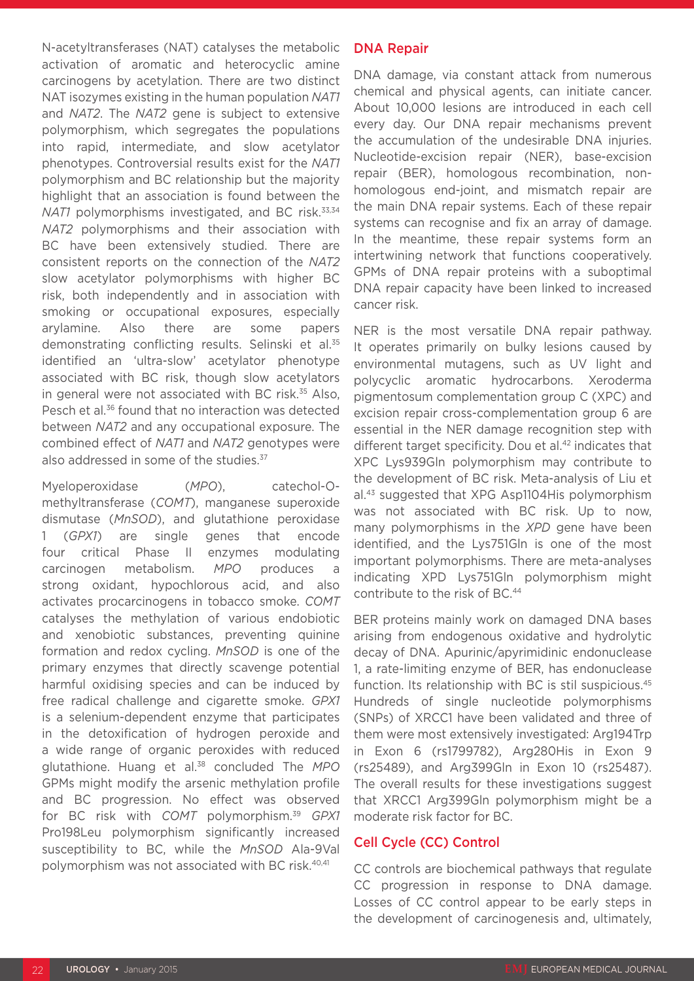N-acetyltransferases (NAT) catalyses the metabolic activation of aromatic and heterocyclic amine carcinogens by acetylation. There are two distinct NAT isozymes existing in the human population *NAT1*  and *NAT2*. The *NAT2* gene is subject to extensive polymorphism, which segregates the populations into rapid, intermediate, and slow acetylator phenotypes. Controversial results exist for the *NAT1* polymorphism and BC relationship but the majority highlight that an association is found between the *NAT1* polymorphisms investigated, and BC risk.<sup>33,34</sup> *NAT2* polymorphisms and their association with BC have been extensively studied. There are consistent reports on the connection of the *NAT2* slow acetylator polymorphisms with higher BC risk, both independently and in association with smoking or occupational exposures, especially arylamine. Also there are some papers demonstrating conflicting results. Selinski et al.<sup>35</sup> identified an 'ultra-slow' acetylator phenotype associated with BC risk, though slow acetylators in general were not associated with BC risk.<sup>35</sup> Also, Pesch et al.36 found that no interaction was detected between *NAT2* and any occupational exposure. The combined effect of *NAT1* and *NAT2* genotypes were also addressed in some of the studies.<sup>37</sup>

Myeloperoxidase (*MPO*), catechol-Omethyltransferase (*COMT*), manganese superoxide dismutase (*MnSOD*), and glutathione peroxidase 1 (*GPX1*) are single genes that encode four critical Phase II enzymes modulating carcinogen metabolism. *MPO* produces a strong oxidant, hypochlorous acid, and also activates procarcinogens in tobacco smoke. *COMT* catalyses the methylation of various endobiotic and xenobiotic substances, preventing quinine formation and redox cycling. *MnSOD* is one of the primary enzymes that directly scavenge potential harmful oxidising species and can be induced by free radical challenge and cigarette smoke. *GPX1* is a selenium-dependent enzyme that participates in the detoxification of hydrogen peroxide and a wide range of organic peroxides with reduced glutathione. Huang et al.38 concluded The *MPO* GPMs might modify the arsenic methylation profile and BC progression. No effect was observed for BC risk with *COMT* polymorphism.39 *GPX1* Pro198Leu polymorphism significantly increased susceptibility to BC, while the *MnSOD* Ala-9Val polymorphism was not associated with BC risk.40,41

#### DNA Repair

DNA damage, via constant attack from numerous chemical and physical agents, can initiate cancer. About 10,000 lesions are introduced in each cell every day. Our DNA repair mechanisms prevent the accumulation of the undesirable DNA injuries. Nucleotide-excision repair (NER), base-excision repair (BER), homologous recombination, nonhomologous end-joint, and mismatch repair are the main DNA repair systems. Each of these repair systems can recognise and fix an array of damage. In the meantime, these repair systems form an intertwining network that functions cooperatively. GPMs of DNA repair proteins with a suboptimal DNA repair capacity have been linked to increased cancer risk.

NER is the most versatile DNA repair pathway. It operates primarily on bulky lesions caused by environmental mutagens, such as UV light and polycyclic aromatic hydrocarbons. Xeroderma pigmentosum complementation group C (XPC) and excision repair cross-complementation group 6 are essential in the NER damage recognition step with different target specificity. Dou et al.<sup>42</sup> indicates that XPC Lys939Gln polymorphism may contribute to the development of BC risk. Meta-analysis of Liu et al.43 suggested that XPG Asp1104His polymorphism was not associated with BC risk. Up to now, many polymorphisms in the *XPD* gene have been identified, and the Lys751Gln is one of the most important polymorphisms. There are meta-analyses indicating XPD Lys751Gln polymorphism might contribute to the risk of BC.44

BER proteins mainly work on damaged DNA bases arising from endogenous oxidative and hydrolytic decay of DNA. Apurinic/apyrimidinic endonuclease 1, a rate-limiting enzyme of BER, has endonuclease function. Its relationship with BC is stil suspicious.<sup>45</sup> Hundreds of single nucleotide polymorphisms (SNPs) of XRCC1 have been validated and three of them were most extensively investigated: Arg194Trp in Exon 6 (rs1799782), Arg280His in Exon 9 (rs25489), and Arg399Gln in Exon 10 (rs25487). The overall results for these investigations suggest that XRCC1 Arg399Gln polymorphism might be a moderate risk factor for BC.

## Cell Cycle (CC) Control

CC controls are biochemical pathways that regulate CC progression in response to DNA damage. Losses of CC control appear to be early steps in the development of carcinogenesis and, ultimately,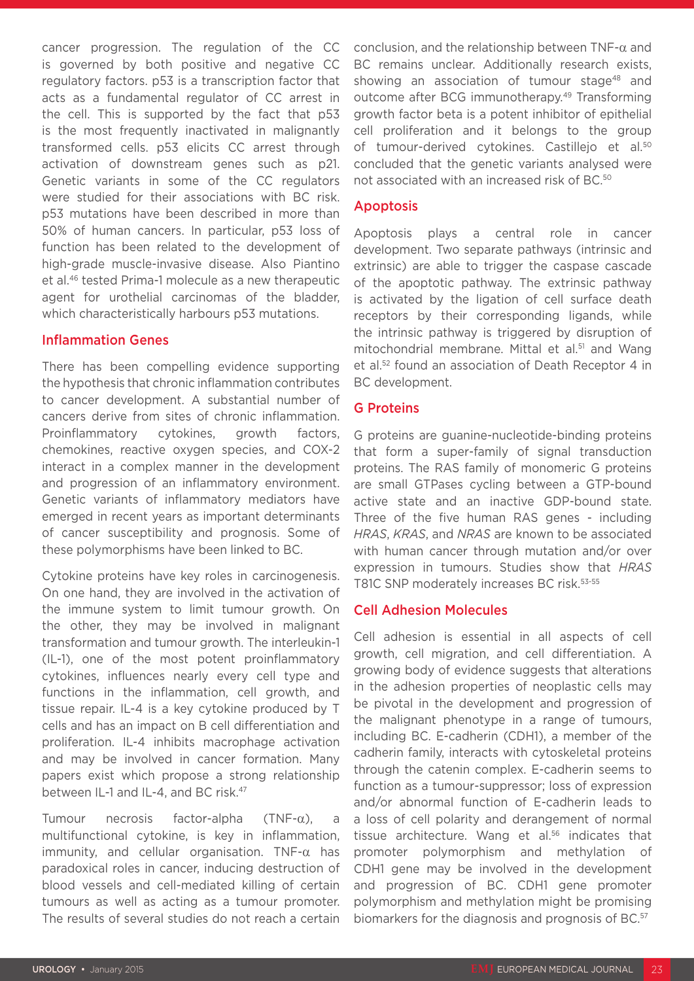cancer progression. The regulation of the CC is governed by both positive and negative CC regulatory factors. p53 is a transcription factor that acts as a fundamental regulator of CC arrest in the cell. This is supported by the fact that p53 is the most frequently inactivated in malignantly transformed cells. p53 elicits CC arrest through activation of downstream genes such as p21. Genetic variants in some of the CC regulators were studied for their associations with BC risk. p53 mutations have been described in more than 50% of human cancers. In particular, p53 loss of function has been related to the development of high-grade muscle-invasive disease. Also Piantino et al.46 tested Prima-1 molecule as a new therapeutic agent for urothelial carcinomas of the bladder, which characteristically harbours p53 mutations.

#### Inflammation Genes

There has been compelling evidence supporting the hypothesis that chronic inflammation contributes to cancer development. A substantial number of cancers derive from sites of chronic inflammation. Proinflammatory cytokines, growth factors, chemokines, reactive oxygen species, and COX-2 interact in a complex manner in the development and progression of an inflammatory environment. Genetic variants of inflammatory mediators have emerged in recent years as important determinants of cancer susceptibility and prognosis. Some of these polymorphisms have been linked to BC.

Cytokine proteins have key roles in carcinogenesis. On one hand, they are involved in the activation of the immune system to limit tumour growth. On the other, they may be involved in malignant transformation and tumour growth. The interleukin-1 (IL-1), one of the most potent proinflammatory cytokines, influences nearly every cell type and functions in the inflammation, cell growth, and tissue repair. IL-4 is a key cytokine produced by T cells and has an impact on B cell differentiation and proliferation. IL-4 inhibits macrophage activation and may be involved in cancer formation. Many papers exist which propose a strong relationship between IL-1 and IL-4, and BC risk.<sup>47</sup>

Tumour necrosis factor-alpha (TNF-α), a multifunctional cytokine, is key in inflammation, immunity, and cellular organisation. TNF-α has paradoxical roles in cancer, inducing destruction of blood vessels and cell-mediated killing of certain tumours as well as acting as a tumour promoter. The results of several studies do not reach a certain

conclusion, and the relationship between TNF-α and BC remains unclear. Additionally research exists, showing an association of tumour stage<sup>48</sup> and outcome after BCG immunotherapy.49 Transforming growth factor beta is a potent inhibitor of epithelial cell proliferation and it belongs to the group of tumour-derived cytokines. Castillejo et al.<sup>50</sup> concluded that the genetic variants analysed were not associated with an increased risk of BC.50

#### Apoptosis

Apoptosis plays a central role in cancer development. Two separate pathways (intrinsic and extrinsic) are able to trigger the caspase cascade of the apoptotic pathway. The extrinsic pathway is activated by the ligation of cell surface death receptors by their corresponding ligands, while the intrinsic pathway is triggered by disruption of mitochondrial membrane. Mittal et al.<sup>51</sup> and Wang et al.52 found an association of Death Receptor 4 in BC development.

#### G Proteins

G proteins are guanine-nucleotide-binding proteins that form a super-family of signal transduction proteins. The RAS family of monomeric G proteins are small GTPases cycling between a GTP-bound active state and an inactive GDP-bound state. Three of the five human RAS genes - including *HRAS*, *KRAS*, and *NRAS* are known to be associated with human cancer through mutation and/or over expression in tumours. Studies show that *HRAS* T81C SNP moderately increases BC risk.<sup>53-55</sup>

# Cell Adhesion Molecules

Cell adhesion is essential in all aspects of cell growth, cell migration, and cell differentiation. A growing body of evidence suggests that alterations in the adhesion properties of neoplastic cells may be pivotal in the development and progression of the malignant phenotype in a range of tumours, including BC. E-cadherin (CDH1), a member of the cadherin family, interacts with cytoskeletal proteins through the catenin complex. E-cadherin seems to function as a tumour-suppressor; loss of expression and/or abnormal function of E-cadherin leads to a loss of cell polarity and derangement of normal tissue architecture. Wang et al.<sup>56</sup> indicates that promoter polymorphism and methylation of CDH1 gene may be involved in the development and progression of BC. CDH1 gene promoter polymorphism and methylation might be promising biomarkers for the diagnosis and prognosis of BC.<sup>57</sup>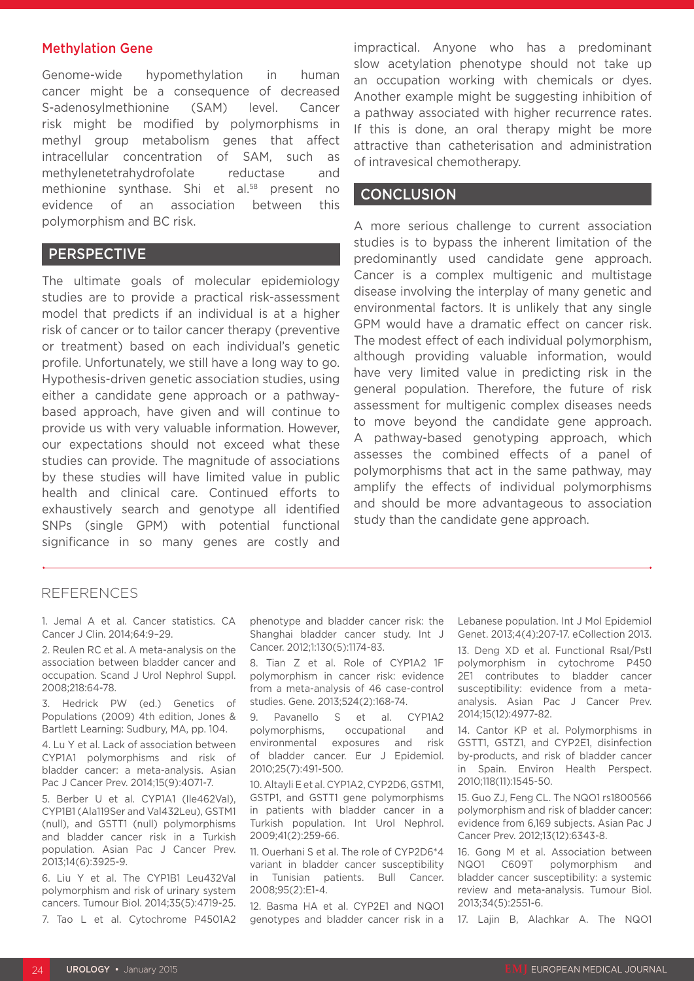#### Methylation Gene

Genome-wide hypomethylation in human cancer might be a consequence of decreased S-adenosylmethionine (SAM) level. Cancer risk might be modified by polymorphisms in methyl group metabolism genes that affect intracellular concentration of SAM, such as methylenetetrahydrofolate reductase and methionine synthase. Shi et al.<sup>58</sup> present no evidence of an association between this polymorphism and BC risk.

## PERSPECTIVE

The ultimate goals of molecular epidemiology studies are to provide a practical risk-assessment model that predicts if an individual is at a higher risk of cancer or to tailor cancer therapy (preventive or treatment) based on each individual's genetic profile. Unfortunately, we still have a long way to go. Hypothesis-driven genetic association studies, using either a candidate gene approach or a pathwaybased approach, have given and will continue to provide us with very valuable information. However, our expectations should not exceed what these studies can provide. The magnitude of associations by these studies will have limited value in public health and clinical care. Continued efforts to exhaustively search and genotype all identified SNPs (single GPM) with potential functional significance in so many genes are costly and

impractical. Anyone who has a predominant slow acetylation phenotype should not take up an occupation working with chemicals or dyes. Another example might be suggesting inhibition of a pathway associated with higher recurrence rates. If this is done, an oral therapy might be more attractive than catheterisation and administration of intravesical chemotherapy.

#### **CONCLUSION**

A more serious challenge to current association studies is to bypass the inherent limitation of the predominantly used candidate gene approach. Cancer is a complex multigenic and multistage disease involving the interplay of many genetic and environmental factors. It is unlikely that any single GPM would have a dramatic effect on cancer risk. The modest effect of each individual polymorphism, although providing valuable information, would have very limited value in predicting risk in the general population. Therefore, the future of risk assessment for multigenic complex diseases needs to move beyond the candidate gene approach. A pathway-based genotyping approach, which assesses the combined effects of a panel of polymorphisms that act in the same pathway, may amplify the effects of individual polymorphisms and should be more advantageous to association study than the candidate gene approach.

## REFERENCES

1. Jemal A et al. Cancer statistics. CA Cancer J Clin. 2014;64:9–29.

2. Reulen RC et al. A meta-analysis on the association between bladder cancer and occupation. Scand J Urol Nephrol Suppl. 2008;218:64-78.

3. Hedrick PW (ed.) Genetics of Populations (2009) 4th edition, Jones & Bartlett Learning: Sudbury, MA, pp. 104.

4. Lu Y et al. Lack of association between CYP1A1 polymorphisms and risk of bladder cancer: a meta-analysis. Asian Pac J Cancer Prev. 2014;15(9):4071-7.

5. Berber U et al. CYP1A1 (Ile462Val), CYP1B1 (Ala119Ser and Val432Leu), GSTM1 (null), and GSTT1 (null) polymorphisms and bladder cancer risk in a Turkish population. Asian Pac J Cancer Prev. 2013;14(6):3925-9.

6. Liu Y et al. The CYP1B1 Leu432Val polymorphism and risk of urinary system cancers. Tumour Biol. 2014;35(5):4719-25. 7. Tao L et al. Cytochrome P4501A2

phenotype and bladder cancer risk: the Shanghai bladder cancer study. Int J Cancer. 2012;1:130(5):1174-83.

8. Tian Z et al. Role of CYP1A2 1F polymorphism in cancer risk: evidence from a meta-analysis of 46 case-control studies. Gene. 2013;524(2):168-74.

9. Pavanello S et al. CYP1A2 polymorphisms, occupational and environmental exposures and risk of bladder cancer. Eur J Epidemiol. 2010;25(7):491-500.

10. Altayli E et al. CYP1A2, CYP2D6, GSTM1, GSTP1, and GSTT1 gene polymorphisms in patients with bladder cancer in a Turkish population. Int Urol Nephrol. 2009;41(2):259-66.

11. Ouerhani S et al. The role of CYP2D6\*4 variant in bladder cancer susceptibility in Tunisian patients. Bull Cancer. 2008;95(2):E1-4.

12. Basma HA et al. CYP2E1 and NQO1 genotypes and bladder cancer risk in a Lebanese population. Int J Mol Epidemiol Genet. 2013;4(4):207-17. eCollection 2013.

13. Deng XD et al. Functional RsaI/PstI polymorphism in cytochrome P450 2E1 contributes to bladder cancer susceptibility: evidence from a metaanalysis. Asian Pac J Cancer Prev. 2014;15(12):4977-82.

14. Cantor KP et al. Polymorphisms in GSTT1, GSTZ1, and CYP2E1, disinfection by-products, and risk of bladder cancer in Spain. Environ Health Perspect. 2010;118(11):1545-50.

15. Guo ZJ, Feng CL. The NQO1 rs1800566 polymorphism and risk of bladder cancer: evidence from 6,169 subjects. Asian Pac J Cancer Prev. 2012;13(12):6343-8.

16. Gong M et al. Association between NQO1 C609T polymorphism and bladder cancer susceptibility: a systemic review and meta-analysis. Tumour Biol. 2013;34(5):2551-6.

17. Lajin B, Alachkar A. The NQO1